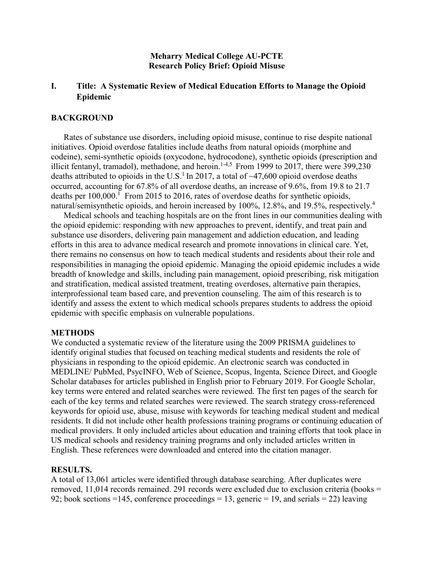## **Meharry Medical College AU-PCTE Research Policy Brief: Opioid Misuse**

# **I. Title: A Systematic Review of Medical Education Efforts to Manage the Opioid Epidemic**

## **BACKGROUND**

Rates of substance use disorders, including opioid misuse, continue to rise despite national initiatives. Opioid overdose fatalities include deaths from natural opioids (morphine and codeine), semi-synthetic opioids (oxycodone, hydrocodone), synthetic opioids (prescription and illicit fentanyl, tramadol), methadone, and heroin.<sup>1-4,5</sup> From 1999 to 2017, there were 399,230 deaths attributed to opioids in the U.S.<sup>1</sup> In 2017, a total of  $\sim$ 47,600 opioid overdose deaths occurred, accounting for 67.8% of all overdose deaths, an increase of 9.6%, from 19.8 to 21.7 deaths per  $100,000$ .<sup>1</sup> From 2015 to 2016, rates of overdose deaths for synthetic opioids, natural/semisynthetic opioids, and heroin increased by 100%, 12.8%, and 19.5%, respectively.<sup>4</sup>

Medical schools and teaching hospitals are on the front lines in our communities dealing with the opioid epidemic: responding with new approaches to prevent, identify, and treat pain and substance use disorders, delivering pain management and addiction education, and leading efforts in this area to advance medical research and promote innovations in clinical care. Yet, there remains no consensus on how to teach medical students and residents about their role and responsibilities in managing the opioid epidemic. Managing the opioid epidemic includes a wide breadth of knowledge and skills, including pain management, opioid prescribing, risk mitigation and stratification, medical assisted treatment, treating overdoses, alternative pain therapies, interprofessional team based care, and prevention counseling. The aim of this research is to identify and assess the extent to which medical schools prepares students to address the opioid epidemic with specific emphasis on vulnerable populations.

#### **METHODS**

We conducted a systematic review of the literature using the 2009 PRISMA guidelines to identify original studies that focused on teaching medical students and residents the role of physicians in responding to the opioid epidemic. An electronic search was conducted in MEDLINE/ PubMed, PsycINFO, Web of Science, Scopus, Ingenta, Science Direct, and Google Scholar databases for articles published in English prior to February 2019. For Google Scholar, key terms were entered and related searches were reviewed. The first ten pages of the search for each of the key terms and related searches were reviewed. The search strategy cross-referenced keywords for opioid use, abuse, misuse with keywords for teaching medical student and medical residents. It did not include other health professions training programs or continuing education of medical providers. It only included articles about education and training efforts that took place in US medical schools and residency training programs and only included articles written in English. These references were downloaded and entered into the citation manager.

#### **RESULTS.**

A total of 13,061 articles were identified through database searching. After duplicates were removed, 11,014 records remained. 291 records were excluded due to exclusion criteria (books = 92; book sections =145, conference proceedings = 13, generic = 19, and serials = 22) leaving